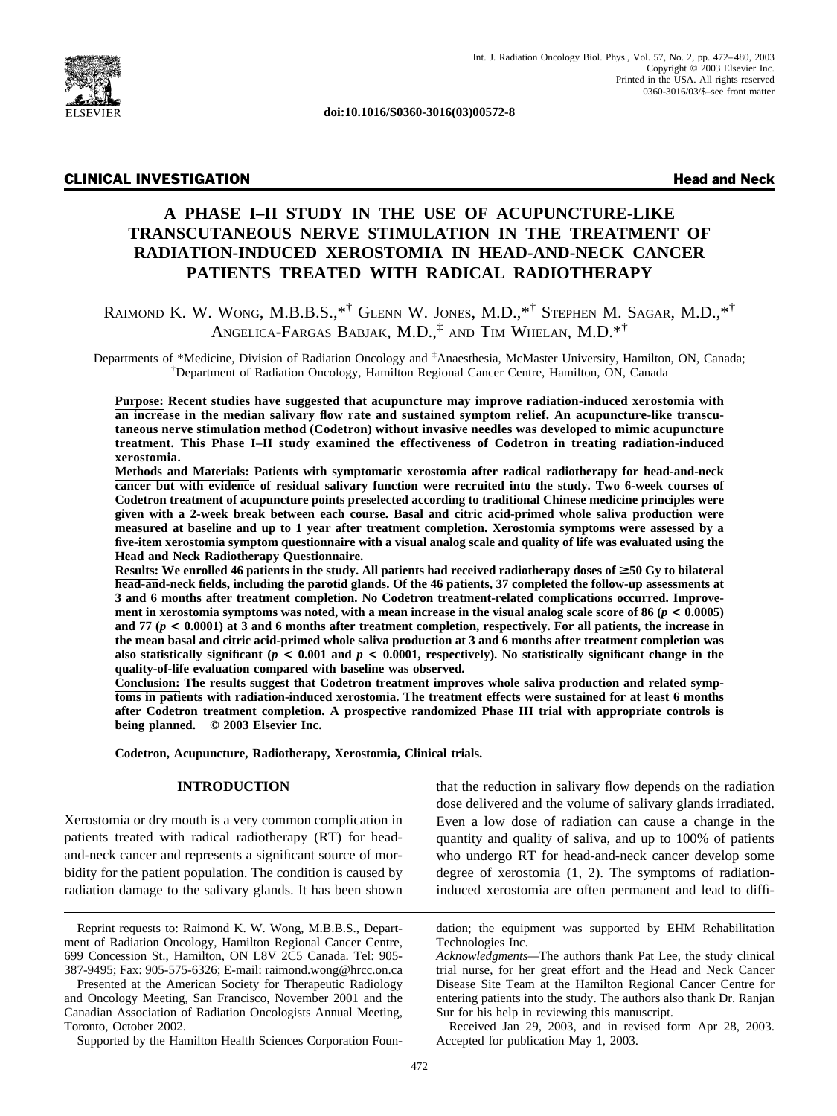

**doi:10.1016/S0360-3016(03)00572-8**

#### CLINICAL INVESTIGATION **Head and Neck** the state of the state of the state of the state of the state of the state of the state of the state of the state of the state of the state of the state of the state of the state of t

# **A PHASE I–II STUDY IN THE USE OF ACUPUNCTURE-LIKE TRANSCUTANEOUS NERVE STIMULATION IN THE TREATMENT OF RADIATION-INDUCED XEROSTOMIA IN HEAD-AND-NECK CANCER PATIENTS TREATED WITH RADICAL RADIOTHERAPY**

RAIMOND K. W. WONG, M.B.B.S.,\*<sup>†</sup> GLENN W. JONES, M.D.,\*<sup>†</sup> STEPHEN M. SAGAR, M.D.,\*<sup>†</sup> ANGELICA-FARGAS BABJAK, M.D.,<sup>‡</sup> AND TIM WHELAN, M.D.<sup>\*†</sup>

Departments of \*Medicine, Division of Radiation Oncology and <sup>‡</sup>Anaesthesia, McMaster University, Hamilton, ON, Canada; † Department of Radiation Oncology, Hamilton Regional Cancer Centre, Hamilton, ON, Canada

**Purpose: Recent studies have suggested that acupuncture may improve radiation-induced xerostomia with an increase in the median salivary flow rate and sustained symptom relief. An acupuncture-like transcutaneous nerve stimulation method (Codetron) without invasive needles was developed to mimic acupuncture treatment. This Phase I–II study examined the effectiveness of Codetron in treating radiation-induced xerostomia.**

**Methods and Materials: Patients with symptomatic xerostomia after radical radiotherapy for head-and-neck cancer but with evidence of residual salivary function were recruited into the study. Two 6-week courses of Codetron treatment of acupuncture points preselected according to traditional Chinese medicine principles were given with a 2-week break between each course. Basal and citric acid-primed whole saliva production were measured at baseline and up to 1 year after treatment completion. Xerostomia symptoms were assessed by a five-item xerostomia symptom questionnaire with a visual analog scale and quality of life was evaluated using the Head and Neck Radiotherapy Questionnaire.**

**Results: We enrolled 46 patients in the study. All patients had received radiotherapy doses of** >**50 Gy to bilateral head-and-neck fields, including the parotid glands. Of the 46 patients, 37 completed the follow-up assessments at 3 and 6 months after treatment completion. No Codetron treatment-related complications occurred. Improvement in xerostomia symptoms was noted, with a mean increase in the visual analog scale score of 86 (***p* **< 0.0005) and 77 (***p* **< 0.0001) at 3 and 6 months after treatment completion, respectively. For all patients, the increase in the mean basal and citric acid-primed whole saliva production at 3 and 6 months after treatment completion was** also statistically significant ( $p < 0.001$  and  $p < 0.0001$ , respectively). No statistically significant change in the **quality-of-life evaluation compared with baseline was observed.**

**Conclusion: The results suggest that Codetron treatment improves whole saliva production and related symptoms in patients with radiation-induced xerostomia. The treatment effects were sustained for at least 6 months after Codetron treatment completion. A prospective randomized Phase III trial with appropriate controls is being planned. © 2003 Elsevier Inc.**

**Codetron, Acupuncture, Radiotherapy, Xerostomia, Clinical trials.**

#### **INTRODUCTION**

Xerostomia or dry mouth is a very common complication in patients treated with radical radiotherapy (RT) for headand-neck cancer and represents a significant source of morbidity for the patient population. The condition is caused by radiation damage to the salivary glands. It has been shown

Reprint requests to: Raimond K. W. Wong, M.B.B.S., Department of Radiation Oncology, Hamilton Regional Cancer Centre, 699 Concession St., Hamilton, ON L8V 2C5 Canada. Tel: 905- 387-9495; Fax: 905-575-6326; E-mail: raimond.wong@hrcc.on.ca

Presented at the American Society for Therapeutic Radiology and Oncology Meeting, San Francisco, November 2001 and the Canadian Association of Radiation Oncologists Annual Meeting, Toronto, October 2002.

Supported by the Hamilton Health Sciences Corporation Foun-

that the reduction in salivary flow depends on the radiation dose delivered and the volume of salivary glands irradiated. Even a low dose of radiation can cause a change in the quantity and quality of saliva, and up to 100% of patients who undergo RT for head-and-neck cancer develop some degree of xerostomia [\(1, 2\).](#page-7-0) The symptoms of radiationinduced xerostomia are often permanent and lead to diffi-

Received Jan 29, 2003, and in revised form Apr 28, 2003. Accepted for publication May 1, 2003.

dation; the equipment was supported by EHM Rehabilitation Technologies Inc.

*Acknowledgments—*The authors thank Pat Lee, the study clinical trial nurse, for her great effort and the Head and Neck Cancer Disease Site Team at the Hamilton Regional Cancer Centre for entering patients into the study. The authors also thank Dr. Ranjan Sur for his help in reviewing this manuscript.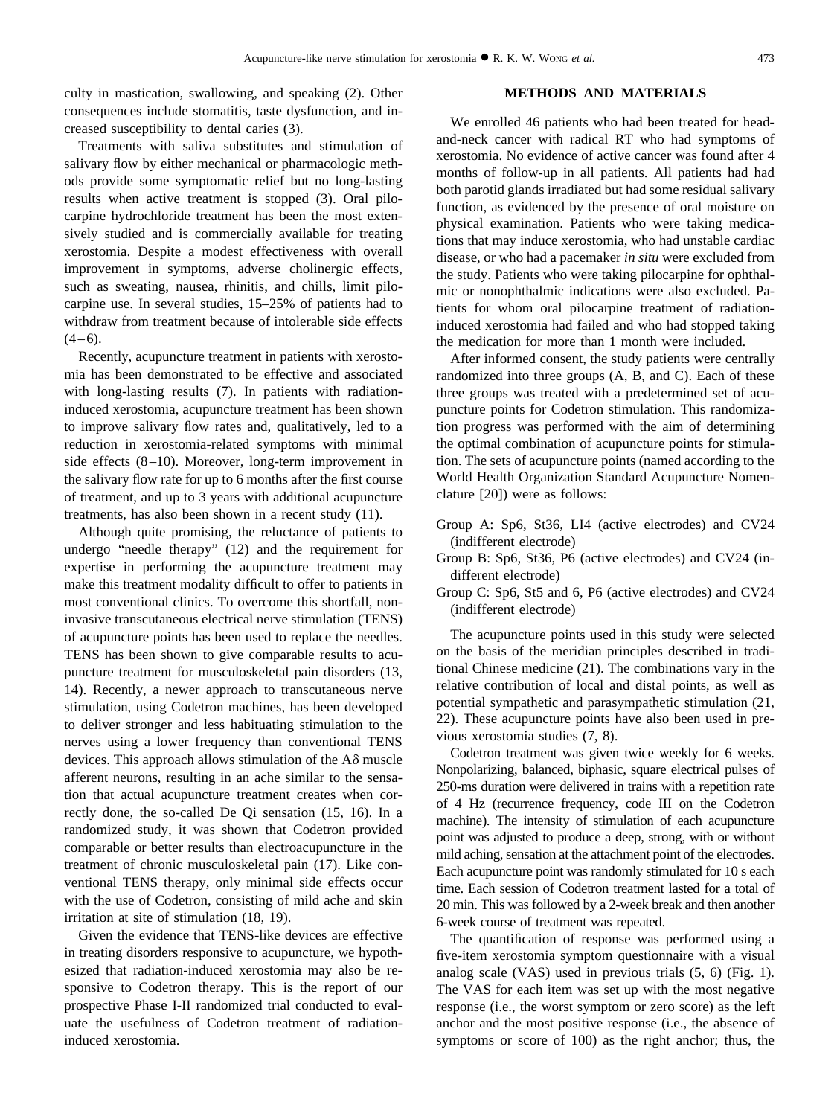culty in mastication, swallowing, and speaking [\(2\).](#page-7-0) Other consequences include stomatitis, taste dysfunction, and increased susceptibility to dental caries [\(3\).](#page-7-0)

Treatments with saliva substitutes and stimulation of salivary flow by either mechanical or pharmacologic methods provide some symptomatic relief but no long-lasting results when active treatment is stopped [\(3\).](#page-7-0) Oral pilocarpine hydrochloride treatment has been the most extensively studied and is commercially available for treating xerostomia. Despite a modest effectiveness with overall improvement in symptoms, adverse cholinergic effects, such as sweating, nausea, rhinitis, and chills, limit pilocarpine use. In several studies, 15–25% of patients had to withdraw from treatment because of intolerable side effects  $(4-6)$ .

Recently, acupuncture treatment in patients with xerostomia has been demonstrated to be effective and associated with long-lasting results [\(7\).](#page-7-0) In patients with radiationinduced xerostomia, acupuncture treatment has been shown to improve salivary flow rates and, qualitatively, led to a reduction in xerostomia-related symptoms with minimal side effects [\(8–10\).](#page-7-0) Moreover, long-term improvement in the salivary flow rate for up to 6 months after the first course of treatment, and up to 3 years with additional acupuncture treatments, has also been shown in a recent study [\(11\).](#page-8-0)

Although quite promising, the reluctance of patients to undergo "needle therapy" [\(12\)](#page-8-0) and the requirement for expertise in performing the acupuncture treatment may make this treatment modality difficult to offer to patients in most conventional clinics. To overcome this shortfall, noninvasive transcutaneous electrical nerve stimulation (TENS) of acupuncture points has been used to replace the needles. TENS has been shown to give comparable results to acupuncture treatment for musculoskeletal pain disorders [\(13,](#page-8-0) [14\).](#page-8-0) Recently, a newer approach to transcutaneous nerve stimulation, using Codetron machines, has been developed to deliver stronger and less habituating stimulation to the nerves using a lower frequency than conventional TENS devices. This approach allows stimulation of the  $A\delta$  muscle afferent neurons, resulting in an ache similar to the sensation that actual acupuncture treatment creates when correctly done, the so-called De Qi sensation [\(15, 16\).](#page-8-0) In a randomized study, it was shown that Codetron provided comparable or better results than electroacupuncture in the treatment of chronic musculoskeletal pain [\(17\).](#page-8-0) Like conventional TENS therapy, only minimal side effects occur with the use of Codetron, consisting of mild ache and skin irritation at site of stimulation [\(18, 19\).](#page-8-0)

Given the evidence that TENS-like devices are effective in treating disorders responsive to acupuncture, we hypothesized that radiation-induced xerostomia may also be responsive to Codetron therapy. This is the report of our prospective Phase I-II randomized trial conducted to evaluate the usefulness of Codetron treatment of radiationinduced xerostomia.

# **METHODS AND MATERIALS**

We enrolled 46 patients who had been treated for headand-neck cancer with radical RT who had symptoms of xerostomia. No evidence of active cancer was found after 4 months of follow-up in all patients. All patients had had both parotid glands irradiated but had some residual salivary function, as evidenced by the presence of oral moisture on physical examination. Patients who were taking medications that may induce xerostomia, who had unstable cardiac disease, or who had a pacemaker *in situ* were excluded from the study. Patients who were taking pilocarpine for ophthalmic or nonophthalmic indications were also excluded. Patients for whom oral pilocarpine treatment of radiationinduced xerostomia had failed and who had stopped taking the medication for more than 1 month were included.

After informed consent, the study patients were centrally randomized into three groups (A, B, and C). Each of these three groups was treated with a predetermined set of acupuncture points for Codetron stimulation. This randomization progress was performed with the aim of determining the optimal combination of acupuncture points for stimulation. The sets of acupuncture points (named according to the World Health Organization Standard Acupuncture Nomenclature [\[20\]\)](#page-8-0) were as follows:

- Group A: Sp6, St36, LI4 (active electrodes) and CV24 (indifferent electrode)
- Group B: Sp6, St36, P6 (active electrodes) and CV24 (indifferent electrode)
- Group C: Sp6, St5 and 6, P6 (active electrodes) and CV24 (indifferent electrode)

The acupuncture points used in this study were selected on the basis of the meridian principles described in traditional Chinese medicine [\(21\).](#page-8-0) The combinations vary in the relative contribution of local and distal points, as well as potential sympathetic and parasympathetic stimulation [\(21,](#page-8-0) [22\).](#page-8-0) These acupuncture points have also been used in previous xerostomia studies [\(7, 8\).](#page-7-0)

Codetron treatment was given twice weekly for 6 weeks. Nonpolarizing, balanced, biphasic, square electrical pulses of 250-ms duration were delivered in trains with a repetition rate of 4 Hz (recurrence frequency, code III on the Codetron machine). The intensity of stimulation of each acupuncture point was adjusted to produce a deep, strong, with or without mild aching, sensation at the attachment point of the electrodes. Each acupuncture point was randomly stimulated for 10 s each time. Each session of Codetron treatment lasted for a total of 20 min. This was followed by a 2-week break and then another 6-week course of treatment was repeated.

The quantification of response was performed using a five-item xerostomia symptom questionnaire with a visual analog scale (VAS) used in previous trials [\(5, 6\)](#page-7-0) [\(Fig. 1\)](#page-2-0). The VAS for each item was set up with the most negative response (i.e., the worst symptom or zero score) as the left anchor and the most positive response (i.e., the absence of symptoms or score of 100) as the right anchor; thus, the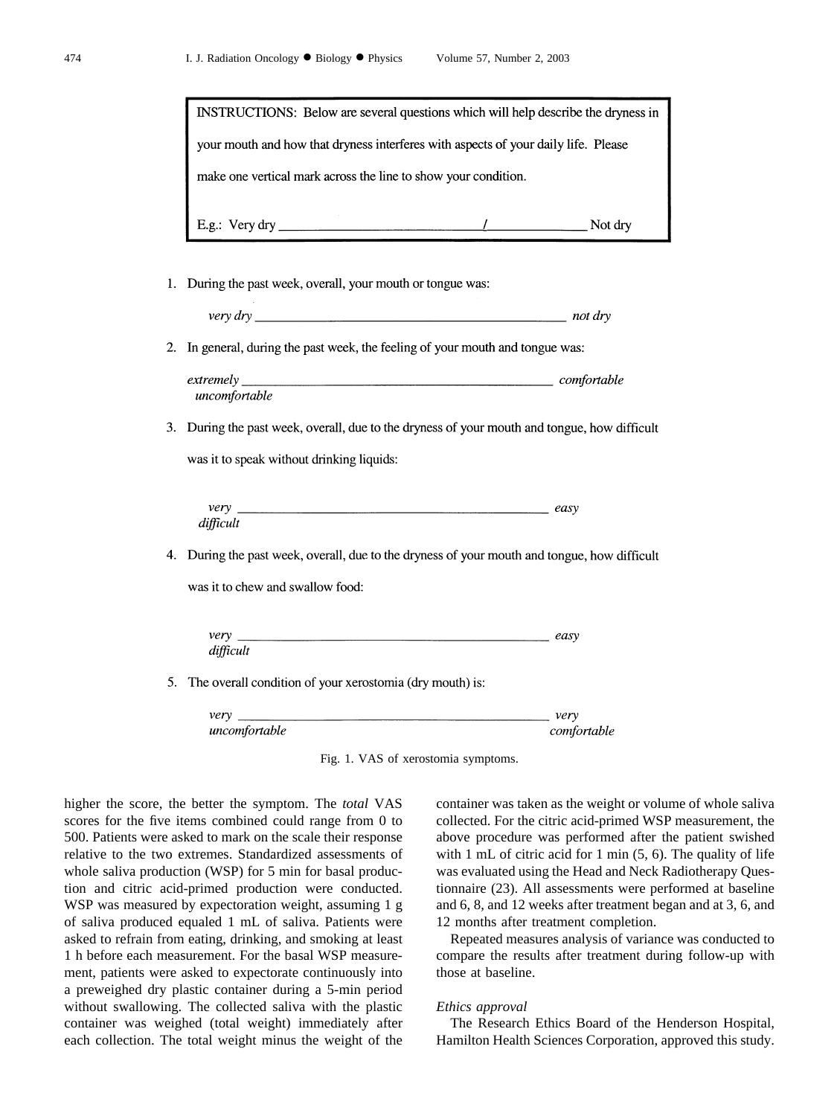<span id="page-2-0"></span>

|    | INSTRUCTIONS: Below are several questions which will help describe the dryness in                                                                                                                                                           |      |  |  |  |
|----|---------------------------------------------------------------------------------------------------------------------------------------------------------------------------------------------------------------------------------------------|------|--|--|--|
|    | your mouth and how that dryness interferes with aspects of your daily life. Please                                                                                                                                                          |      |  |  |  |
|    | make one vertical mark across the line to show your condition.                                                                                                                                                                              |      |  |  |  |
|    |                                                                                                                                                                                                                                             |      |  |  |  |
|    |                                                                                                                                                                                                                                             |      |  |  |  |
| 1. | During the past week, overall, your mouth or tongue was:                                                                                                                                                                                    |      |  |  |  |
|    | $very dry \_\_$                                                                                                                                                                                                                             |      |  |  |  |
|    | 2. In general, during the past week, the feeling of your mouth and tongue was:                                                                                                                                                              |      |  |  |  |
|    | uncomfortable                                                                                                                                                                                                                               |      |  |  |  |
|    | 3. During the past week, overall, due to the dryness of your mouth and tongue, how difficult                                                                                                                                                |      |  |  |  |
|    | was it to speak without drinking liquids:                                                                                                                                                                                                   |      |  |  |  |
|    | very easy easy easy extends the contract of the contract of the contract of the contract of the contract of the contract of the contract of the contract of the contract of the contract of the contract of the contract of th<br>difficult |      |  |  |  |
|    | 4. During the past week, overall, due to the dryness of your mouth and tongue, how difficult                                                                                                                                                |      |  |  |  |
|    | was it to chew and swallow food:                                                                                                                                                                                                            |      |  |  |  |
|    | $very \_ easy$<br>difficult                                                                                                                                                                                                                 |      |  |  |  |
| 5. | The overall condition of your xerostomia (dry mouth) is:                                                                                                                                                                                    |      |  |  |  |
|    | very                                                                                                                                                                                                                                        | very |  |  |  |

uncomfortable comfortable



higher the score, the better the symptom. The *total* VAS scores for the five items combined could range from 0 to 500. Patients were asked to mark on the scale their response relative to the two extremes. Standardized assessments of whole saliva production (WSP) for 5 min for basal production and citric acid-primed production were conducted. WSP was measured by expectoration weight, assuming 1 g of saliva produced equaled 1 mL of saliva. Patients were asked to refrain from eating, drinking, and smoking at least 1 h before each measurement. For the basal WSP measurement, patients were asked to expectorate continuously into a preweighed dry plastic container during a 5-min period without swallowing. The collected saliva with the plastic container was weighed (total weight) immediately after each collection. The total weight minus the weight of the

container was taken as the weight or volume of whole saliva collected. For the citric acid-primed WSP measurement, the above procedure was performed after the patient swished with 1 mL of citric acid for 1 min [\(5, 6\).](#page-7-0) The quality of life was evaluated using the Head and Neck Radiotherapy Questionnaire [\(23\).](#page-8-0) All assessments were performed at baseline and 6, 8, and 12 weeks after treatment began and at 3, 6, and 12 months after treatment completion.

Repeated measures analysis of variance was conducted to compare the results after treatment during follow-up with those at baseline.

### *Ethics approval*

The Research Ethics Board of the Henderson Hospital, Hamilton Health Sciences Corporation, approved this study.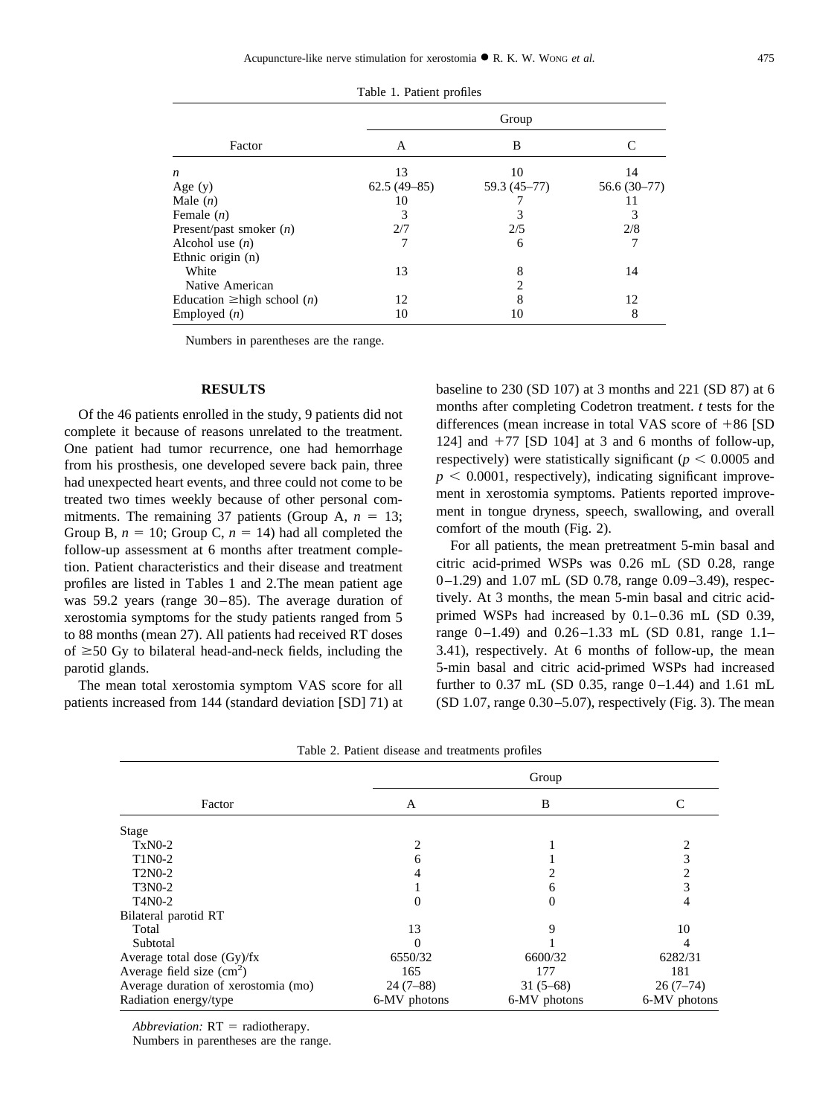| Factor                                    | A             | B               | C             |
|-------------------------------------------|---------------|-----------------|---------------|
| $\boldsymbol{n}$                          | 13            | 10              | 14            |
| Age $(y)$                                 | $62.5(49-85)$ | $59.3(45 - 77)$ | $56.6(30-77)$ |
| Male $(n)$                                | 10            |                 | 11            |
| Female $(n)$                              | 3             | 3               | 3             |
| Present/past smoker $(n)$                 | 2/7           | 2/5             | 2/8           |
| Alcohol use $(n)$                         |               | 6               |               |
| Ethnic origin (n)                         |               |                 |               |
| White                                     | 13            | 8               | 14            |
| Native American                           |               | 2               |               |
| Education $\geq$ high school ( <i>n</i> ) | 12            | 8               | 12            |
| Employed $(n)$                            | 10            | 10              | 8             |

Table 1. Patient profiles

Numbers in parentheses are the range.

# **RESULTS**

Of the 46 patients enrolled in the study, 9 patients did not complete it because of reasons unrelated to the treatment. One patient had tumor recurrence, one had hemorrhage from his prosthesis, one developed severe back pain, three had unexpected heart events, and three could not come to be treated two times weekly because of other personal commitments. The remaining 37 patients (Group A,  $n = 13$ ; Group B,  $n = 10$ ; Group C,  $n = 14$ ) had all completed the follow-up assessment at 6 months after treatment completion. Patient characteristics and their disease and treatment profiles are listed in Tables 1 and 2.The mean patient age was 59.2 years (range 30–85). The average duration of xerostomia symptoms for the study patients ranged from 5 to 88 months (mean 27). All patients had received RT doses of  $\geq$  50 Gy to bilateral head-and-neck fields, including the parotid glands.

The mean total xerostomia symptom VAS score for all patients increased from 144 (standard deviation [SD] 71) at baseline to 230 (SD 107) at 3 months and 221 (SD 87) at 6 months after completing Codetron treatment. *t* tests for the differences (mean increase in total VAS score of  $+86$  [SD 124] and  $+77$  [SD 104] at 3 and 6 months of follow-up, respectively) were statistically significant ( $p < 0.0005$  and  $p < 0.0001$ , respectively), indicating significant improvement in xerostomia symptoms. Patients reported improvement in tongue dryness, speech, swallowing, and overall comfort of the mouth [\(Fig. 2\)](#page-4-0).

For all patients, the mean pretreatment 5-min basal and citric acid-primed WSPs was 0.26 mL (SD 0.28, range 0–1.29) and 1.07 mL (SD 0.78, range 0.09–3.49), respectively. At 3 months, the mean 5-min basal and citric acidprimed WSPs had increased by 0.1–0.36 mL (SD 0.39, range 0–1.49) and 0.26–1.33 mL (SD 0.81, range 1.1– 3.41), respectively. At 6 months of follow-up, the mean 5-min basal and citric acid-primed WSPs had increased further to 0.37 mL (SD 0.35, range  $0-1.44$ ) and 1.61 mL  $(SD 1.07, \text{range } 0.30 - 5.07)$ , respectively [\(Fig. 3\)](#page-5-0). The mean

|                                     | Group        |              |              |  |
|-------------------------------------|--------------|--------------|--------------|--|
| Factor                              | A            | B            |              |  |
| Stage                               |              |              |              |  |
| $TxN0-2$                            | 2            |              |              |  |
| T1N0-2                              | h            |              | 3            |  |
| T <sub>2</sub> N <sub>0</sub> -2    |              |              | 2            |  |
| T3N0-2                              |              | 6            | 3            |  |
| T4N0-2                              |              | $\Omega$     | 4            |  |
| Bilateral parotid RT                |              |              |              |  |
| Total                               | 13           | Q            | 10           |  |
| Subtotal                            |              |              | 4            |  |
| Average total dose $(Gy)/fx$        | 6550/32      | 6600/32      | 6282/31      |  |
| Average field size $(cm2)$          | 165          | 177          | 181          |  |
| Average duration of xerostomia (mo) | $24(7-88)$   | $31(5-68)$   | $26(7-74)$   |  |
| Radiation energy/type               | 6-MV photons | 6-MV photons | 6-MV photons |  |

|  |  |  |  | Table 2. Patient disease and treatments profiles |  |
|--|--|--|--|--------------------------------------------------|--|
|--|--|--|--|--------------------------------------------------|--|

*Abbreviation:*  $RT =$  radiotherapy.

Numbers in parentheses are the range.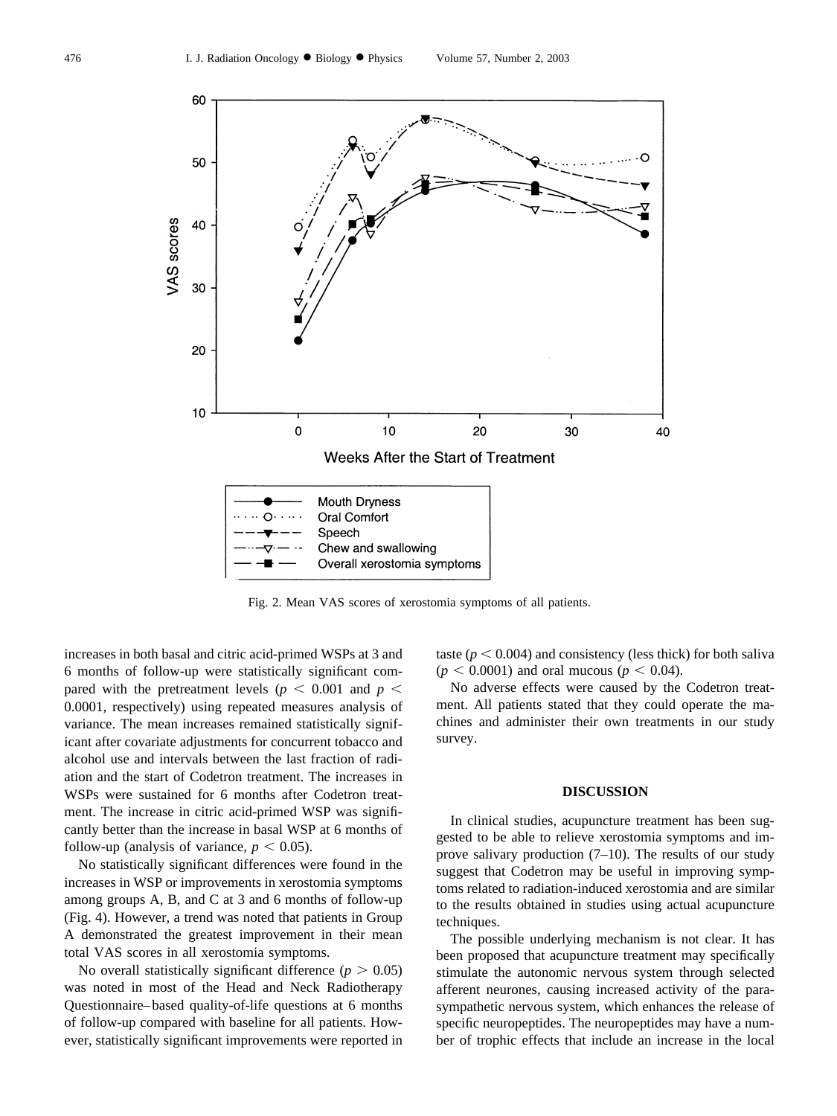<span id="page-4-0"></span>

Fig. 2. Mean VAS scores of xerostomia symptoms of all patients.

increases in both basal and citric acid-primed WSPs at 3 and 6 months of follow-up were statistically significant compared with the pretreatment levels ( $p < 0.001$  and  $p <$ 0.0001, respectively) using repeated measures analysis of variance. The mean increases remained statistically significant after covariate adjustments for concurrent tobacco and alcohol use and intervals between the last fraction of radiation and the start of Codetron treatment. The increases in WSPs were sustained for 6 months after Codetron treatment. The increase in citric acid-primed WSP was significantly better than the increase in basal WSP at 6 months of follow-up (analysis of variance,  $p < 0.05$ ).

No statistically significant differences were found in the increases in WSP or improvements in xerostomia symptoms among groups A, B, and C at 3 and 6 months of follow-up [\(Fig. 4\)](#page-6-0). However, a trend was noted that patients in Group A demonstrated the greatest improvement in their mean total VAS scores in all xerostomia symptoms.

No overall statistically significant difference  $(p > 0.05)$ was noted in most of the Head and Neck Radiotherapy Questionnaire–based quality-of-life questions at 6 months of follow-up compared with baseline for all patients. However, statistically significant improvements were reported in

taste ( $p < 0.004$ ) and consistency (less thick) for both saliva  $(p < 0.0001)$  and oral mucous  $(p < 0.04)$ .

No adverse effects were caused by the Codetron treatment. All patients stated that they could operate the machines and administer their own treatments in our study survey.

#### **DISCUSSION**

In clinical studies, acupuncture treatment has been suggested to be able to relieve xerostomia symptoms and improve salivary production [\(7–10\).](#page-7-0) The results of our study suggest that Codetron may be useful in improving symptoms related to radiation-induced xerostomia and are similar to the results obtained in studies using actual acupuncture techniques.

The possible underlying mechanism is not clear. It has been proposed that acupuncture treatment may specifically stimulate the autonomic nervous system through selected afferent neurones, causing increased activity of the parasympathetic nervous system, which enhances the release of specific neuropeptides. The neuropeptides may have a number of trophic effects that include an increase in the local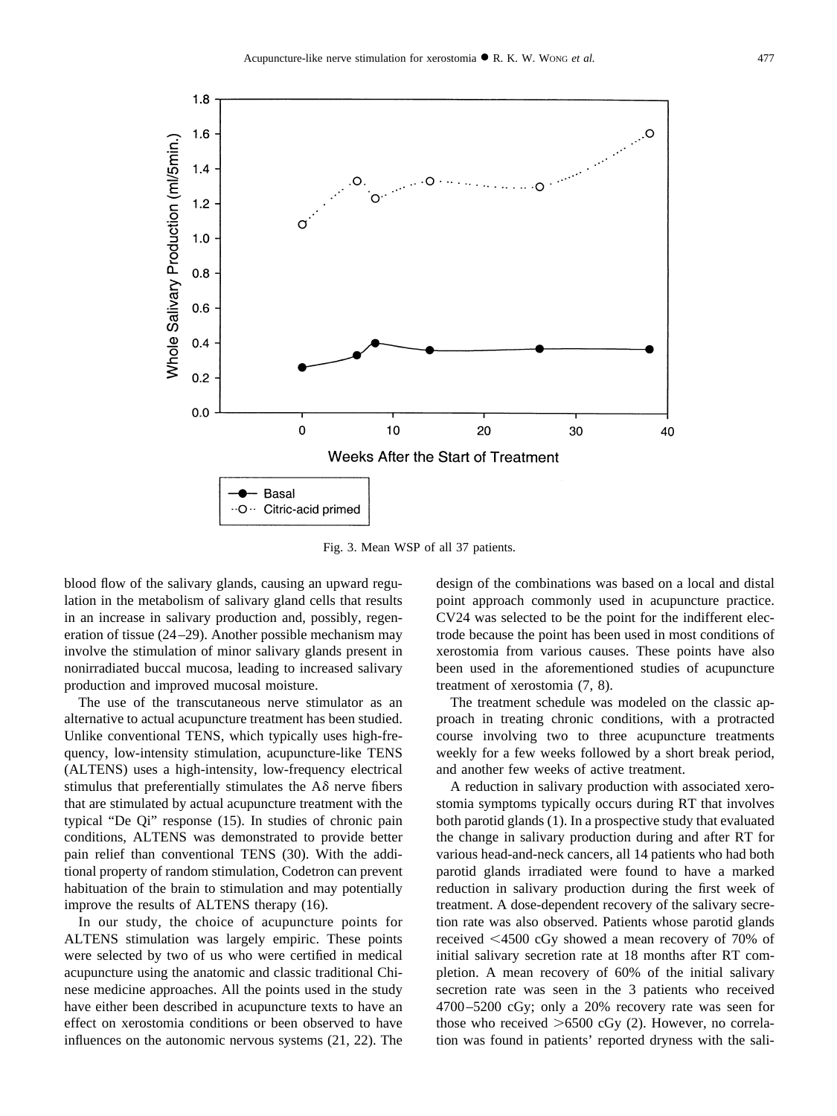<span id="page-5-0"></span>

Fig. 3. Mean WSP of all 37 patients.

blood flow of the salivary glands, causing an upward regulation in the metabolism of salivary gland cells that results in an increase in salivary production and, possibly, regeneration of tissue [\(24–29\).](#page-8-0) Another possible mechanism may involve the stimulation of minor salivary glands present in nonirradiated buccal mucosa, leading to increased salivary production and improved mucosal moisture.

The use of the transcutaneous nerve stimulator as an alternative to actual acupuncture treatment has been studied. Unlike conventional TENS, which typically uses high-frequency, low-intensity stimulation, acupuncture-like TENS (ALTENS) uses a high-intensity, low-frequency electrical stimulus that preferentially stimulates the  $A\delta$  nerve fibers that are stimulated by actual acupuncture treatment with the typical "De Qi" response [\(15\).](#page-8-0) In studies of chronic pain conditions, ALTENS was demonstrated to provide better pain relief than conventional TENS [\(30\).](#page-8-0) With the additional property of random stimulation, Codetron can prevent habituation of the brain to stimulation and may potentially improve the results of ALTENS therapy [\(16\).](#page-8-0)

In our study, the choice of acupuncture points for ALTENS stimulation was largely empiric. These points were selected by two of us who were certified in medical acupuncture using the anatomic and classic traditional Chinese medicine approaches. All the points used in the study have either been described in acupuncture texts to have an effect on xerostomia conditions or been observed to have influences on the autonomic nervous systems [\(21, 22\).](#page-8-0) The

design of the combinations was based on a local and distal point approach commonly used in acupuncture practice. CV24 was selected to be the point for the indifferent electrode because the point has been used in most conditions of xerostomia from various causes. These points have also been used in the aforementioned studies of acupuncture treatment of xerostomia [\(7, 8\).](#page-7-0)

The treatment schedule was modeled on the classic approach in treating chronic conditions, with a protracted course involving two to three acupuncture treatments weekly for a few weeks followed by a short break period, and another few weeks of active treatment.

A reduction in salivary production with associated xerostomia symptoms typically occurs during RT that involves both parotid glands [\(1\).](#page-7-0) In a prospective study that evaluated the change in salivary production during and after RT for various head-and-neck cancers, all 14 patients who had both parotid glands irradiated were found to have a marked reduction in salivary production during the first week of treatment. A dose-dependent recovery of the salivary secretion rate was also observed. Patients whose parotid glands received 4500 cGy showed a mean recovery of 70% of initial salivary secretion rate at 18 months after RT completion. A mean recovery of 60% of the initial salivary secretion rate was seen in the 3 patients who received 4700–5200 cGy; only a 20% recovery rate was seen for those who received  $>6500$  cGy [\(2\).](#page-7-0) However, no correlation was found in patients' reported dryness with the sali-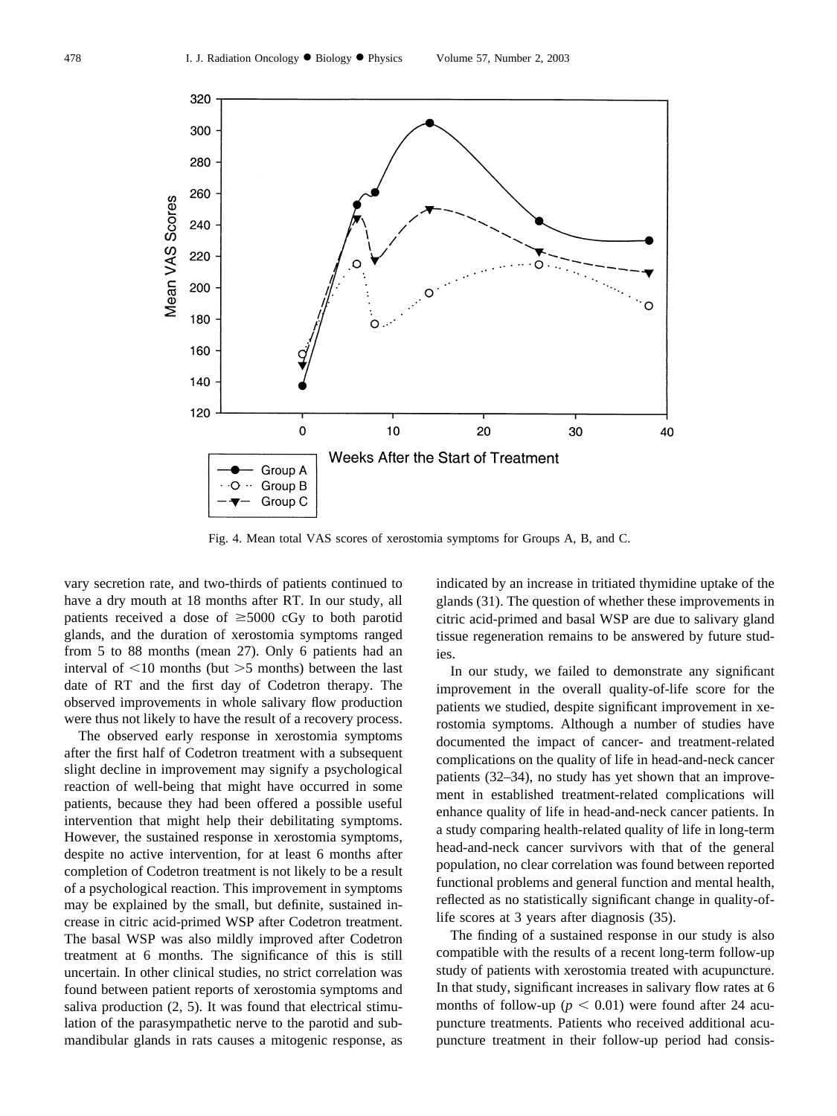<span id="page-6-0"></span>

Fig. 4. Mean total VAS scores of xerostomia symptoms for Groups A, B, and C.

vary secretion rate, and two-thirds of patients continued to have a dry mouth at 18 months after RT. In our study, all patients received a dose of  $\geq 5000$  cGy to both parotid glands, and the duration of xerostomia symptoms ranged from 5 to 88 months (mean 27). Only 6 patients had an interval of  $\leq 10$  months (but  $>5$  months) between the last date of RT and the first day of Codetron therapy. The observed improvements in whole salivary flow production were thus not likely to have the result of a recovery process.

The observed early response in xerostomia symptoms after the first half of Codetron treatment with a subsequent slight decline in improvement may signify a psychological reaction of well-being that might have occurred in some patients, because they had been offered a possible useful intervention that might help their debilitating symptoms. However, the sustained response in xerostomia symptoms, despite no active intervention, for at least 6 months after completion of Codetron treatment is not likely to be a result of a psychological reaction. This improvement in symptoms may be explained by the small, but definite, sustained increase in citric acid-primed WSP after Codetron treatment. The basal WSP was also mildly improved after Codetron treatment at 6 months. The significance of this is still uncertain. In other clinical studies, no strict correlation was found between patient reports of xerostomia symptoms and saliva production  $(2, 5)$ . It was found that electrical stimulation of the parasympathetic nerve to the parotid and submandibular glands in rats causes a mitogenic response, as

indicated by an increase in tritiated thymidine uptake of the glands [\(31\).](#page-8-0) The question of whether these improvements in citric acid-primed and basal WSP are due to salivary gland tissue regeneration remains to be answered by future studies.

In our study, we failed to demonstrate any significant improvement in the overall quality-of-life score for the patients we studied, despite significant improvement in xerostomia symptoms. Although a number of studies have documented the impact of cancer- and treatment-related complications on the quality of life in head-and-neck cancer patients [\(32–34\),](#page-8-0) no study has yet shown that an improvement in established treatment-related complications will enhance quality of life in head-and-neck cancer patients. In a study comparing health-related quality of life in long-term head-and-neck cancer survivors with that of the general population, no clear correlation was found between reported functional problems and general function and mental health, reflected as no statistically significant change in quality-oflife scores at 3 years after diagnosis [\(35\).](#page-8-0)

The finding of a sustained response in our study is also compatible with the results of a recent long-term follow-up study of patients with xerostomia treated with acupuncture. In that study, significant increases in salivary flow rates at 6 months of follow-up ( $p < 0.01$ ) were found after 24 acupuncture treatments. Patients who received additional acupuncture treatment in their follow-up period had consis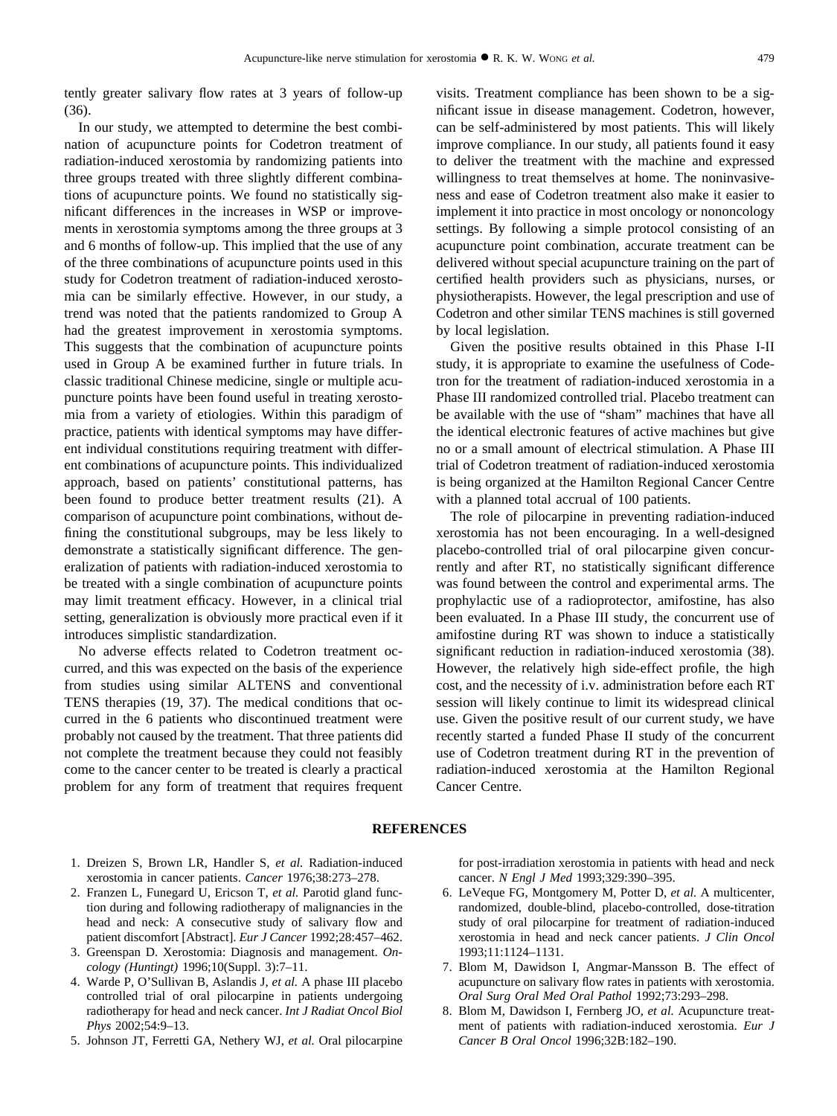<span id="page-7-0"></span>tently greater salivary flow rates at 3 years of follow-up [\(36\).](#page-8-0)

In our study, we attempted to determine the best combination of acupuncture points for Codetron treatment of radiation-induced xerostomia by randomizing patients into three groups treated with three slightly different combinations of acupuncture points. We found no statistically significant differences in the increases in WSP or improvements in xerostomia symptoms among the three groups at 3 and 6 months of follow-up. This implied that the use of any of the three combinations of acupuncture points used in this study for Codetron treatment of radiation-induced xerostomia can be similarly effective. However, in our study, a trend was noted that the patients randomized to Group A had the greatest improvement in xerostomia symptoms. This suggests that the combination of acupuncture points used in Group A be examined further in future trials. In classic traditional Chinese medicine, single or multiple acupuncture points have been found useful in treating xerostomia from a variety of etiologies. Within this paradigm of practice, patients with identical symptoms may have different individual constitutions requiring treatment with different combinations of acupuncture points. This individualized approach, based on patients' constitutional patterns, has been found to produce better treatment results [\(21\).](#page-8-0) A comparison of acupuncture point combinations, without defining the constitutional subgroups, may be less likely to demonstrate a statistically significant difference. The generalization of patients with radiation-induced xerostomia to be treated with a single combination of acupuncture points may limit treatment efficacy. However, in a clinical trial setting, generalization is obviously more practical even if it introduces simplistic standardization.

No adverse effects related to Codetron treatment occurred, and this was expected on the basis of the experience from studies using similar ALTENS and conventional TENS therapies [\(19, 37\).](#page-8-0) The medical conditions that occurred in the 6 patients who discontinued treatment were probably not caused by the treatment. That three patients did not complete the treatment because they could not feasibly come to the cancer center to be treated is clearly a practical problem for any form of treatment that requires frequent

visits. Treatment compliance has been shown to be a significant issue in disease management. Codetron, however, can be self-administered by most patients. This will likely improve compliance. In our study, all patients found it easy to deliver the treatment with the machine and expressed willingness to treat themselves at home. The noninvasiveness and ease of Codetron treatment also make it easier to implement it into practice in most oncology or nononcology settings. By following a simple protocol consisting of an acupuncture point combination, accurate treatment can be delivered without special acupuncture training on the part of certified health providers such as physicians, nurses, or physiotherapists. However, the legal prescription and use of Codetron and other similar TENS machines is still governed by local legislation.

Given the positive results obtained in this Phase I-II study, it is appropriate to examine the usefulness of Codetron for the treatment of radiation-induced xerostomia in a Phase III randomized controlled trial. Placebo treatment can be available with the use of "sham" machines that have all the identical electronic features of active machines but give no or a small amount of electrical stimulation. A Phase III trial of Codetron treatment of radiation-induced xerostomia is being organized at the Hamilton Regional Cancer Centre with a planned total accrual of 100 patients.

The role of pilocarpine in preventing radiation-induced xerostomia has not been encouraging. In a well-designed placebo-controlled trial of oral pilocarpine given concurrently and after RT, no statistically significant difference was found between the control and experimental arms. The prophylactic use of a radioprotector, amifostine, has also been evaluated. In a Phase III study, the concurrent use of amifostine during RT was shown to induce a statistically significant reduction in radiation-induced xerostomia [\(38\).](#page-8-0) However, the relatively high side-effect profile, the high cost, and the necessity of i.v. administration before each RT session will likely continue to limit its widespread clinical use. Given the positive result of our current study, we have recently started a funded Phase II study of the concurrent use of Codetron treatment during RT in the prevention of radiation-induced xerostomia at the Hamilton Regional Cancer Centre.

## **REFERENCES**

- 1. Dreizen S, Brown LR, Handler S, *et al.* Radiation-induced xerostomia in cancer patients. *Cancer* 1976;38:273–278.
- 2. Franzen L, Funegard U, Ericson T, *et al.* Parotid gland function during and following radiotherapy of malignancies in the head and neck: A consecutive study of salivary flow and patient discomfort [Abstract]. *Eur J Cancer* 1992;28:457–462.
- 3. Greenspan D. Xerostomia: Diagnosis and management. *Oncology (Huntingt)* 1996;10(Suppl. 3):7–11.
- 4. Warde P, O'Sullivan B, Aslandis J, *et al.* A phase III placebo controlled trial of oral pilocarpine in patients undergoing radiotherapy for head and neck cancer. *Int J Radiat Oncol Biol Phys* 2002;54:9–13.
- 5. Johnson JT, Ferretti GA, Nethery WJ, *et al.* Oral pilocarpine

for post-irradiation xerostomia in patients with head and neck cancer. *N Engl J Med* 1993;329:390–395.

- 6. LeVeque FG, Montgomery M, Potter D, *et al.* A multicenter, randomized, double-blind, placebo-controlled, dose-titration study of oral pilocarpine for treatment of radiation-induced xerostomia in head and neck cancer patients. *J Clin Oncol* 1993;11:1124–1131.
- 7. Blom M, Dawidson I, Angmar-Mansson B. The effect of acupuncture on salivary flow rates in patients with xerostomia. *Oral Surg Oral Med Oral Pathol* 1992;73:293–298.
- 8. Blom M, Dawidson I, Fernberg JO, *et al.* Acupuncture treatment of patients with radiation-induced xerostomia. *Eur J Cancer B Oral Oncol* 1996;32B:182–190.